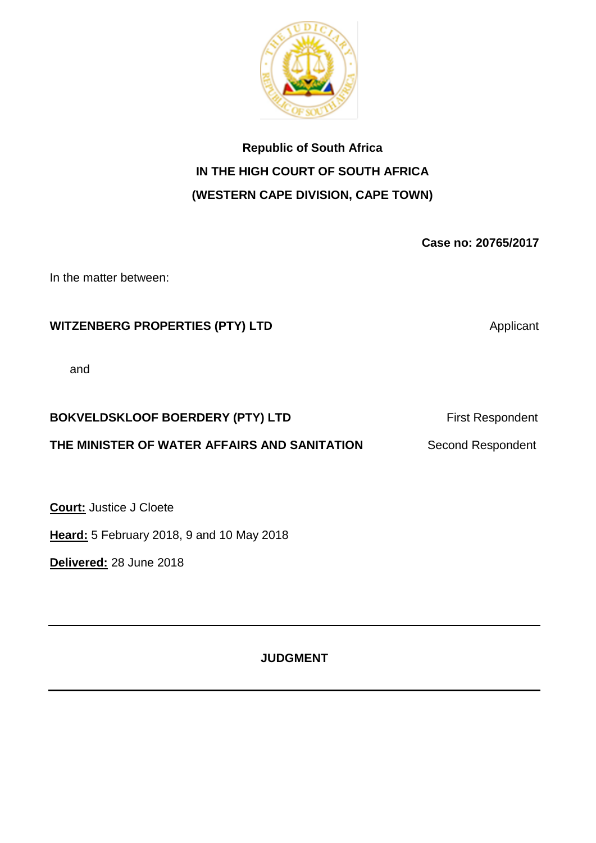

# **Republic of South Africa IN THE HIGH COURT OF SOUTH AFRICA (WESTERN CAPE DIVISION, CAPE TOWN)**

**Case no: 20765/2017**

In the matter between:

# **WITZENBERG PROPERTIES (PTY) LTD Applicant**

and

# **BOKVELDSKLOOF BOERDERY (PTY) LTD** First Respondent

# **THE MINISTER OF WATER AFFAIRS AND SANITATION Second Respondent**

**Court:** Justice J Cloete

**Heard:** 5 February 2018, 9 and 10 May 2018

**Delivered:** 28 June 2018

**JUDGMENT**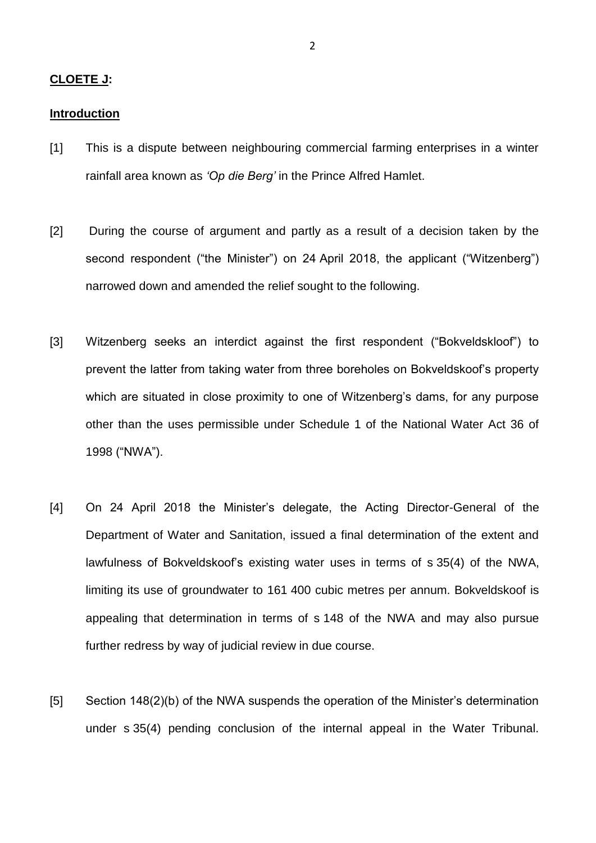#### **CLOETE J:**

#### **Introduction**

- [1] This is a dispute between neighbouring commercial farming enterprises in a winter rainfall area known as *'Op die Berg'* in the Prince Alfred Hamlet.
- [2] During the course of argument and partly as a result of a decision taken by the second respondent ("the Minister") on 24 April 2018, the applicant ("Witzenberg") narrowed down and amended the relief sought to the following.
- [3] Witzenberg seeks an interdict against the first respondent ("Bokveldskloof") to prevent the latter from taking water from three boreholes on Bokveldskoof's property which are situated in close proximity to one of Witzenberg's dams, for any purpose other than the uses permissible under Schedule 1 of the National Water Act 36 of 1998 ("NWA").
- [4] On 24 April 2018 the Minister's delegate, the Acting Director-General of the Department of Water and Sanitation, issued a final determination of the extent and lawfulness of Bokveldskoof's existing water uses in terms of s 35(4) of the NWA, limiting its use of groundwater to 161 400 cubic metres per annum. Bokveldskoof is appealing that determination in terms of s 148 of the NWA and may also pursue further redress by way of judicial review in due course.
- [5] Section 148(2)(b) of the NWA suspends the operation of the Minister's determination under s 35(4) pending conclusion of the internal appeal in the Water Tribunal.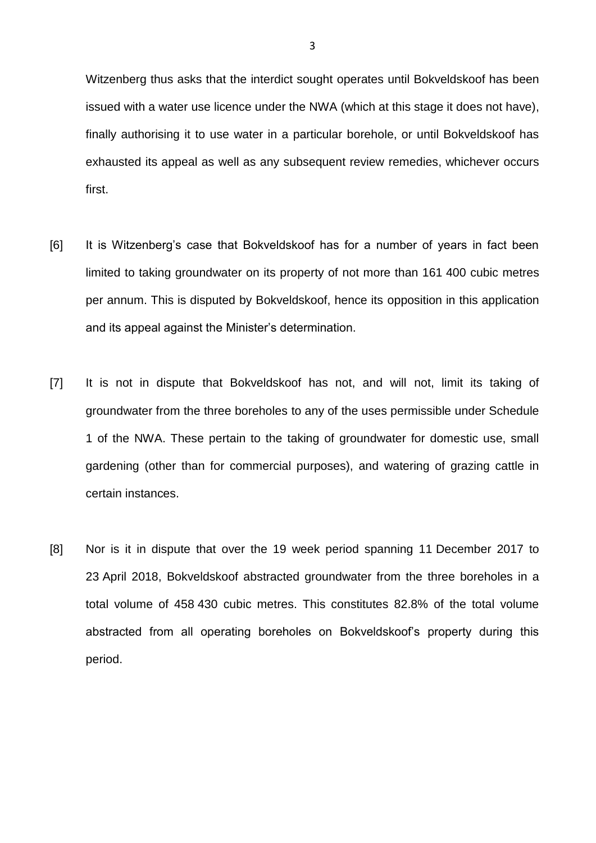Witzenberg thus asks that the interdict sought operates until Bokveldskoof has been issued with a water use licence under the NWA (which at this stage it does not have), finally authorising it to use water in a particular borehole, or until Bokveldskoof has exhausted its appeal as well as any subsequent review remedies, whichever occurs first.

- [6] It is Witzenberg's case that Bokveldskoof has for a number of years in fact been limited to taking groundwater on its property of not more than 161 400 cubic metres per annum. This is disputed by Bokveldskoof, hence its opposition in this application and its appeal against the Minister's determination.
- [7] It is not in dispute that Bokveldskoof has not, and will not, limit its taking of groundwater from the three boreholes to any of the uses permissible under Schedule 1 of the NWA. These pertain to the taking of groundwater for domestic use, small gardening (other than for commercial purposes), and watering of grazing cattle in certain instances.
- [8] Nor is it in dispute that over the 19 week period spanning 11 December 2017 to 23 April 2018, Bokveldskoof abstracted groundwater from the three boreholes in a total volume of 458 430 cubic metres. This constitutes 82.8% of the total volume abstracted from all operating boreholes on Bokveldskoof's property during this period.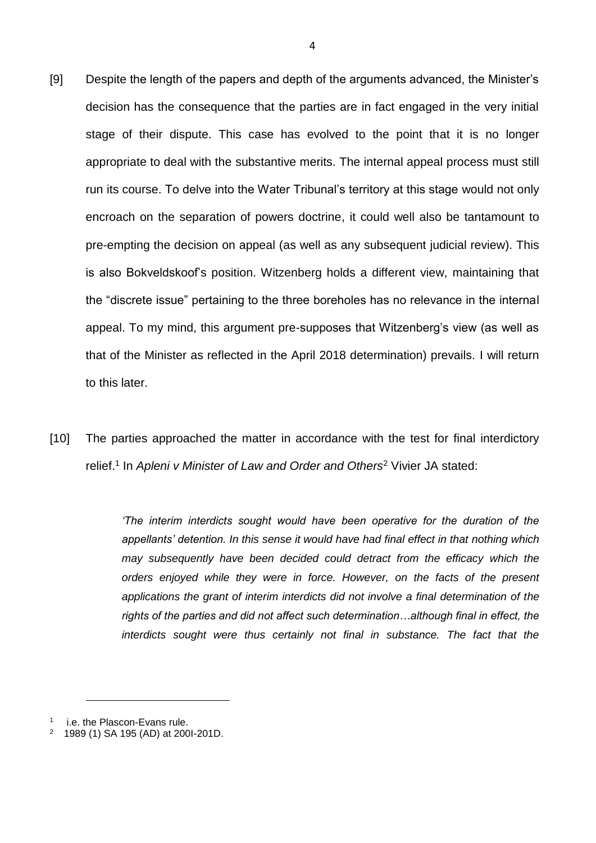- [9] Despite the length of the papers and depth of the arguments advanced, the Minister's decision has the consequence that the parties are in fact engaged in the very initial stage of their dispute. This case has evolved to the point that it is no longer appropriate to deal with the substantive merits. The internal appeal process must still run its course. To delve into the Water Tribunal's territory at this stage would not only encroach on the separation of powers doctrine, it could well also be tantamount to pre-empting the decision on appeal (as well as any subsequent judicial review). This is also Bokveldskoof's position. Witzenberg holds a different view, maintaining that the "discrete issue" pertaining to the three boreholes has no relevance in the internal appeal. To my mind, this argument pre-supposes that Witzenberg's view (as well as that of the Minister as reflected in the April 2018 determination) prevails. I will return to this later.
- [10] The parties approached the matter in accordance with the test for final interdictory relief.<sup>1</sup> In *Apleni v Minister of Law and Order and Others*<sup>2</sup> Vivier JA stated:

*'The interim interdicts sought would have been operative for the duration of the appellants' detention. In this sense it would have had final effect in that nothing which may subsequently have been decided could detract from the efficacy which the orders enjoyed while they were in force. However, on the facts of the present applications the grant of interim interdicts did not involve a final determination of the rights of the parties and did not affect such determination…although final in effect, the interdicts sought were thus certainly not final in substance. The fact that the* 

l

4

<sup>1</sup> i.e. the Plascon-Evans rule.

<sup>2</sup> 1989 (1) SA 195 (AD) at 200I-201D.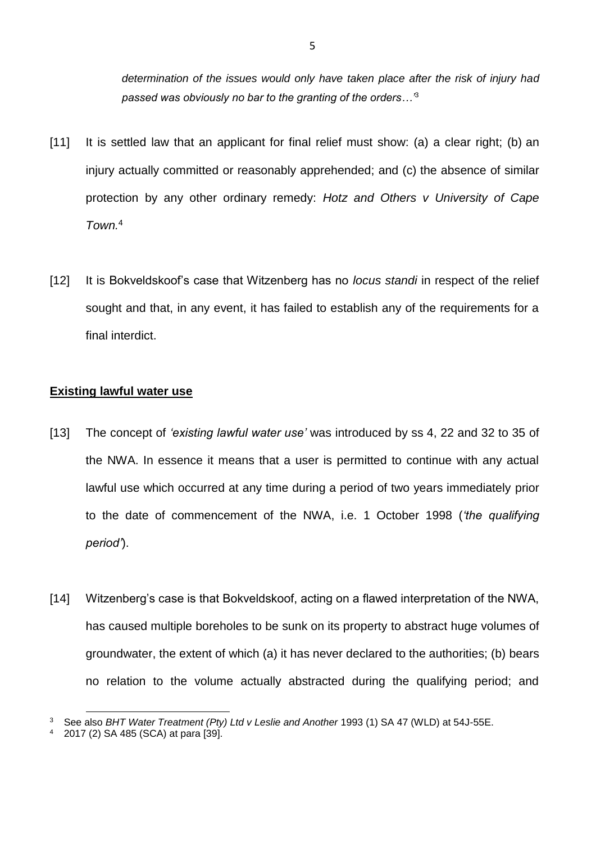*determination of the issues would only have taken place after the risk of injury had passed was obviously no bar to the granting of the orders…'*<sup>3</sup>

- [11] It is settled law that an applicant for final relief must show: (a) a clear right; (b) an injury actually committed or reasonably apprehended; and (c) the absence of similar protection by any other ordinary remedy: *Hotz and Others v University of Cape Town.* 4
- [12] It is Bokveldskoof's case that Witzenberg has no *locus standi* in respect of the relief sought and that, in any event, it has failed to establish any of the requirements for a final interdict.

## **Existing lawful water use**

- [13] The concept of *'existing lawful water use'* was introduced by ss 4, 22 and 32 to 35 of the NWA. In essence it means that a user is permitted to continue with any actual lawful use which occurred at any time during a period of two years immediately prior to the date of commencement of the NWA, i.e. 1 October 1998 (*'the qualifying period'*).
- [14] Witzenberg's case is that Bokveldskoof, acting on a flawed interpretation of the NWA, has caused multiple boreholes to be sunk on its property to abstract huge volumes of groundwater, the extent of which (a) it has never declared to the authorities; (b) bears no relation to the volume actually abstracted during the qualifying period; and

<sup>3</sup> See also *BHT Water Treatment (Pty) Ltd v Leslie and Another* 1993 (1) SA 47 (WLD) at 54J-55E.

<sup>4</sup> 2017 (2) SA 485 (SCA) at para [39].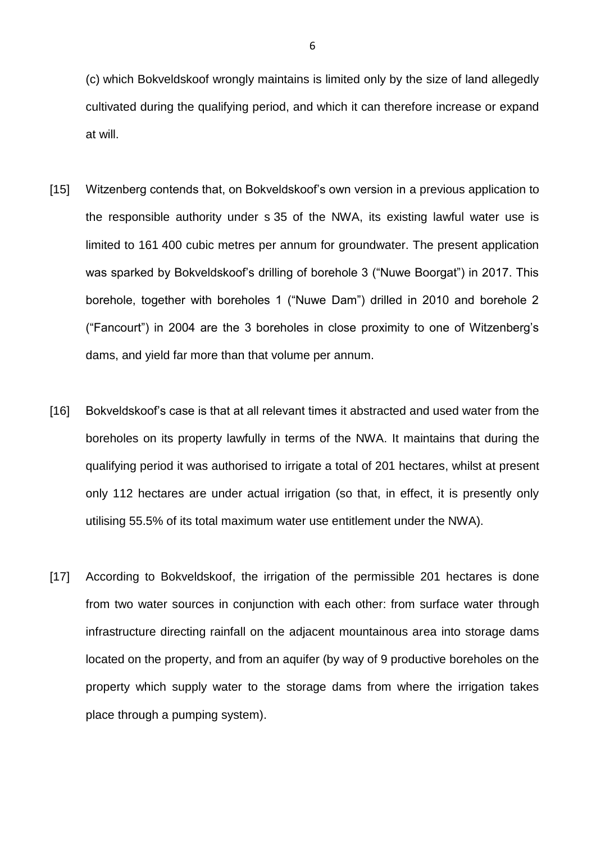(c) which Bokveldskoof wrongly maintains is limited only by the size of land allegedly cultivated during the qualifying period, and which it can therefore increase or expand at will.

- [15] Witzenberg contends that, on Bokveldskoof's own version in a previous application to the responsible authority under s 35 of the NWA, its existing lawful water use is limited to 161 400 cubic metres per annum for groundwater. The present application was sparked by Bokveldskoof's drilling of borehole 3 ("Nuwe Boorgat") in 2017. This borehole, together with boreholes 1 ("Nuwe Dam") drilled in 2010 and borehole 2 ("Fancourt") in 2004 are the 3 boreholes in close proximity to one of Witzenberg's dams, and yield far more than that volume per annum.
- [16] Bokveldskoof's case is that at all relevant times it abstracted and used water from the boreholes on its property lawfully in terms of the NWA. It maintains that during the qualifying period it was authorised to irrigate a total of 201 hectares, whilst at present only 112 hectares are under actual irrigation (so that, in effect, it is presently only utilising 55.5% of its total maximum water use entitlement under the NWA).
- [17] According to Bokveldskoof, the irrigation of the permissible 201 hectares is done from two water sources in conjunction with each other: from surface water through infrastructure directing rainfall on the adjacent mountainous area into storage dams located on the property, and from an aquifer (by way of 9 productive boreholes on the property which supply water to the storage dams from where the irrigation takes place through a pumping system).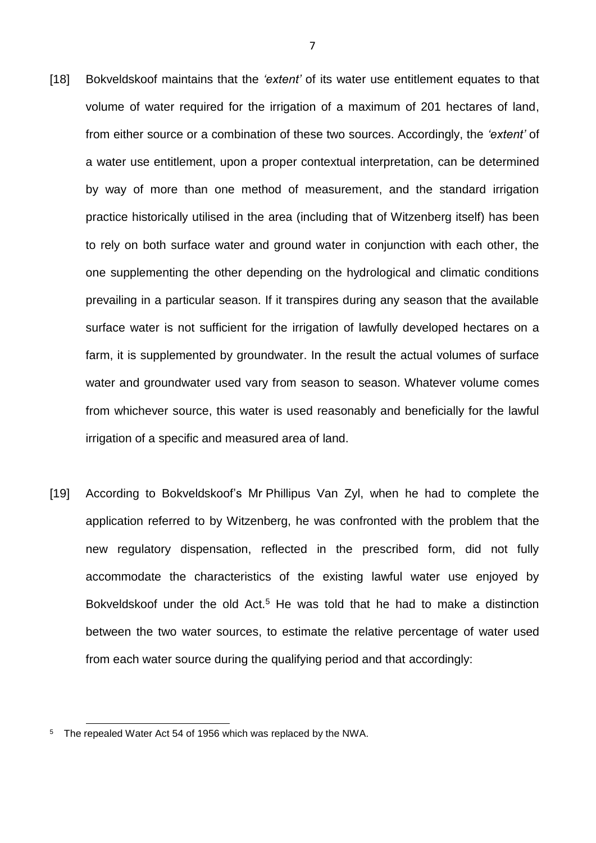- [18] Bokveldskoof maintains that the *'extent'* of its water use entitlement equates to that volume of water required for the irrigation of a maximum of 201 hectares of land, from either source or a combination of these two sources. Accordingly, the *'extent'* of a water use entitlement, upon a proper contextual interpretation, can be determined by way of more than one method of measurement, and the standard irrigation practice historically utilised in the area (including that of Witzenberg itself) has been to rely on both surface water and ground water in conjunction with each other, the one supplementing the other depending on the hydrological and climatic conditions prevailing in a particular season. If it transpires during any season that the available surface water is not sufficient for the irrigation of lawfully developed hectares on a farm, it is supplemented by groundwater. In the result the actual volumes of surface water and groundwater used vary from season to season. Whatever volume comes from whichever source, this water is used reasonably and beneficially for the lawful irrigation of a specific and measured area of land.
- [19] According to Bokveldskoof's Mr Phillipus Van Zyl, when he had to complete the application referred to by Witzenberg, he was confronted with the problem that the new regulatory dispensation, reflected in the prescribed form, did not fully accommodate the characteristics of the existing lawful water use enjoyed by Bokveldskoof under the old  $Act.^5$  He was told that he had to make a distinction between the two water sources, to estimate the relative percentage of water used from each water source during the qualifying period and that accordingly:

l

7

<sup>&</sup>lt;sup>5</sup> The repealed Water Act 54 of 1956 which was replaced by the NWA.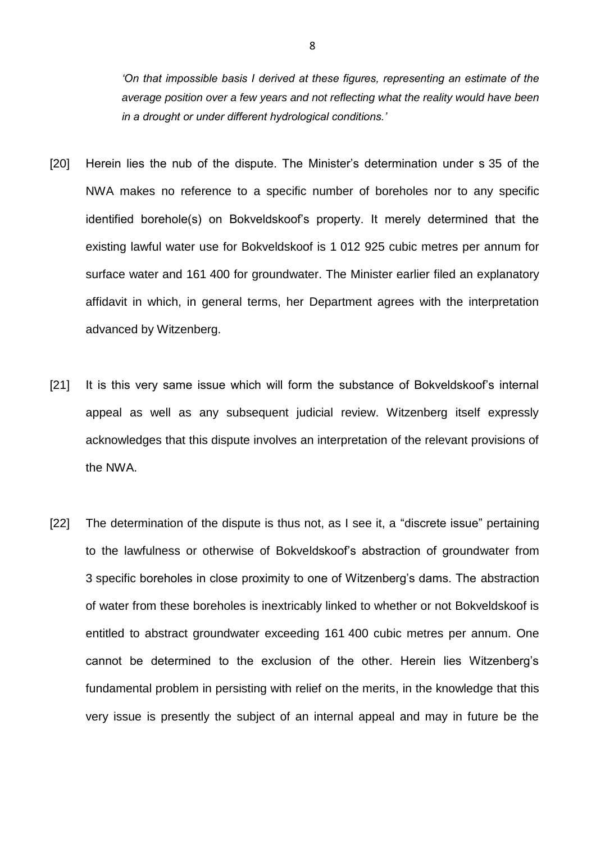*'On that impossible basis I derived at these figures, representing an estimate of the average position over a few years and not reflecting what the reality would have been in a drought or under different hydrological conditions.'*

- [20] Herein lies the nub of the dispute. The Minister's determination under s 35 of the NWA makes no reference to a specific number of boreholes nor to any specific identified borehole(s) on Bokveldskoof's property. It merely determined that the existing lawful water use for Bokveldskoof is 1 012 925 cubic metres per annum for surface water and 161 400 for groundwater. The Minister earlier filed an explanatory affidavit in which, in general terms, her Department agrees with the interpretation advanced by Witzenberg.
- [21] It is this very same issue which will form the substance of Bokveldskoof's internal appeal as well as any subsequent judicial review. Witzenberg itself expressly acknowledges that this dispute involves an interpretation of the relevant provisions of the NWA.
- [22] The determination of the dispute is thus not, as I see it, a "discrete issue" pertaining to the lawfulness or otherwise of Bokveldskoof's abstraction of groundwater from 3 specific boreholes in close proximity to one of Witzenberg's dams. The abstraction of water from these boreholes is inextricably linked to whether or not Bokveldskoof is entitled to abstract groundwater exceeding 161 400 cubic metres per annum. One cannot be determined to the exclusion of the other. Herein lies Witzenberg's fundamental problem in persisting with relief on the merits, in the knowledge that this very issue is presently the subject of an internal appeal and may in future be the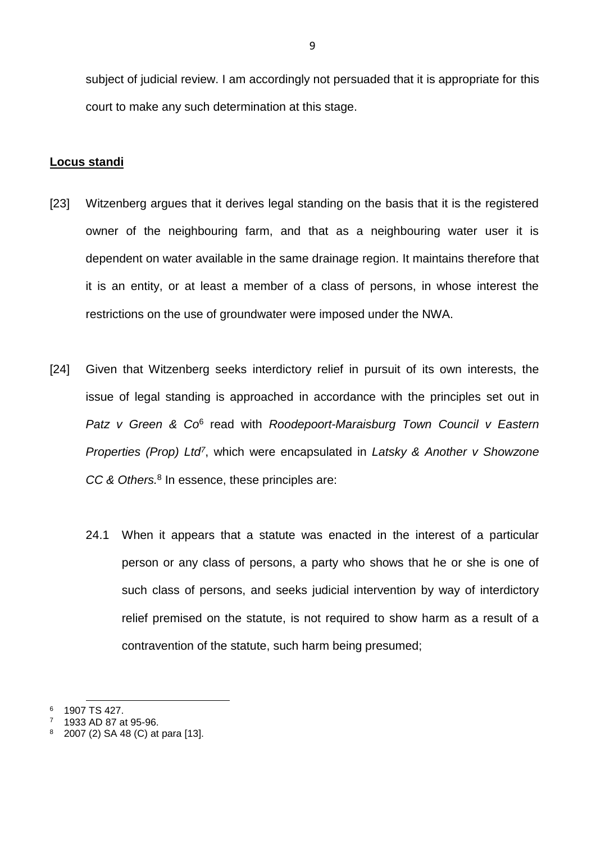subject of judicial review. I am accordingly not persuaded that it is appropriate for this court to make any such determination at this stage.

## **Locus standi**

- [23] Witzenberg argues that it derives legal standing on the basis that it is the registered owner of the neighbouring farm, and that as a neighbouring water user it is dependent on water available in the same drainage region. It maintains therefore that it is an entity, or at least a member of a class of persons, in whose interest the restrictions on the use of groundwater were imposed under the NWA.
- [24] Given that Witzenberg seeks interdictory relief in pursuit of its own interests, the issue of legal standing is approached in accordance with the principles set out in Patz v Green & Co<sup>6</sup> read with *Roodepoort-Maraisburg Town Council v Eastern Properties (Prop) Ltd<sup>7</sup>* , which were encapsulated in *Latsky & Another v Showzone CC & Others.*<sup>8</sup> In essence, these principles are:
	- 24.1 When it appears that a statute was enacted in the interest of a particular person or any class of persons, a party who shows that he or she is one of such class of persons, and seeks judicial intervention by way of interdictory relief premised on the statute, is not required to show harm as a result of a contravention of the statute, such harm being presumed;

l <sup>6</sup> 1907 TS 427.

<sup>7</sup> 1933 AD 87 at 95-96.

<sup>2007 (2)</sup> SA 48 (C) at para [13].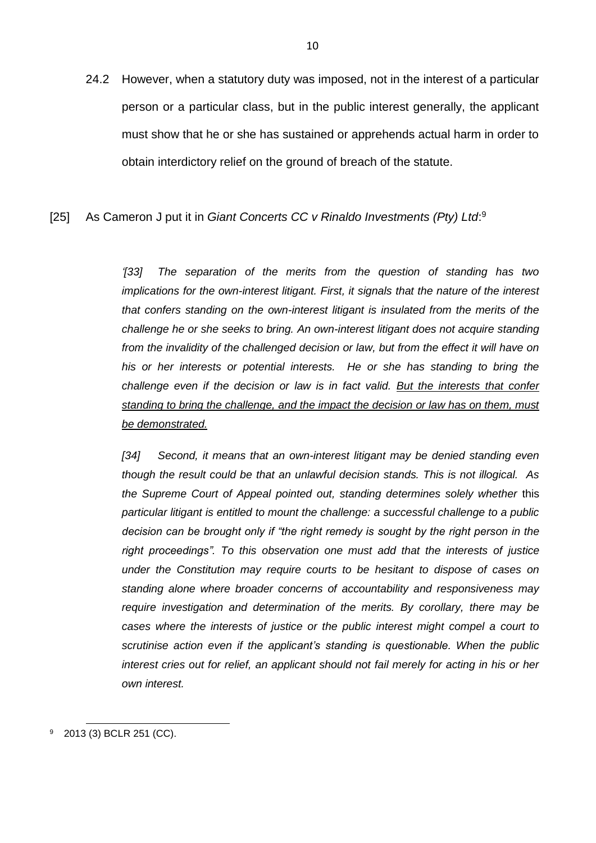24.2 However, when a statutory duty was imposed, not in the interest of a particular person or a particular class, but in the public interest generally, the applicant must show that he or she has sustained or apprehends actual harm in order to obtain interdictory relief on the ground of breach of the statute.

## [25] As Cameron J put it in Giant Concerts CC v Rinaldo Investments (Pty) Ltd:<sup>9</sup>

*'[33] The separation of the merits from the question of standing has two implications for the own-interest litigant. First, it signals that the nature of the interest that confers standing on the own-interest litigant is insulated from the merits of the challenge he or she seeks to bring. An own-interest litigant does not acquire standing from the invalidity of the challenged decision or law, but from the effect it will have on his or her interests or potential interests. He or she has standing to bring the challenge even if the decision or law is in fact valid. But the interests that confer standing to bring the challenge, and the impact the decision or law has on them, must be demonstrated.*

*[34] Second, it means that an own-interest litigant may be denied standing even though the result could be that an unlawful decision stands. This is not illogical. As the Supreme Court of Appeal pointed out, standing determines solely whether* this *particular litigant is entitled to mount the challenge: a successful challenge to a public decision can be brought only if "the right remedy is sought by the right person in the right proceedings". To this observation one must add that the interests of justice under the Constitution may require courts to be hesitant to dispose of cases on standing alone where broader concerns of accountability and responsiveness may require investigation and determination of the merits. By corollary, there may be cases where the interests of justice or the public interest might compel a court to scrutinise action even if the applicant's standing is questionable. When the public interest cries out for relief, an applicant should not fail merely for acting in his or her own interest.*

<sup>9</sup> 2013 (3) BCLR 251 (CC).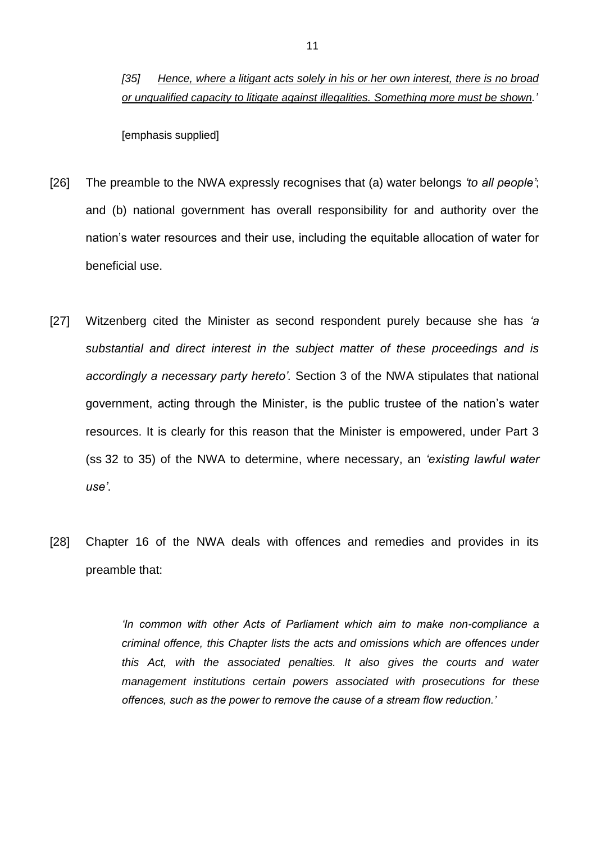## *[35] Hence, where a litigant acts solely in his or her own interest, there is no broad or unqualified capacity to litigate against illegalities. Something more must be shown.'*

[emphasis supplied]

- [26] The preamble to the NWA expressly recognises that (a) water belongs *'to all people'*; and (b) national government has overall responsibility for and authority over the nation's water resources and their use, including the equitable allocation of water for beneficial use.
- [27] Witzenberg cited the Minister as second respondent purely because she has *'a substantial and direct interest in the subject matter of these proceedings and is accordingly a necessary party hereto'.* Section 3 of the NWA stipulates that national government, acting through the Minister, is the public trustee of the nation's water resources. It is clearly for this reason that the Minister is empowered, under Part 3 (ss 32 to 35) of the NWA to determine, where necessary, an *'existing lawful water use'*.
- [28] Chapter 16 of the NWA deals with offences and remedies and provides in its preamble that:

*'In common with other Acts of Parliament which aim to make non-compliance a criminal offence, this Chapter lists the acts and omissions which are offences under this Act, with the associated penalties. It also gives the courts and water management institutions certain powers associated with prosecutions for these offences, such as the power to remove the cause of a stream flow reduction.'*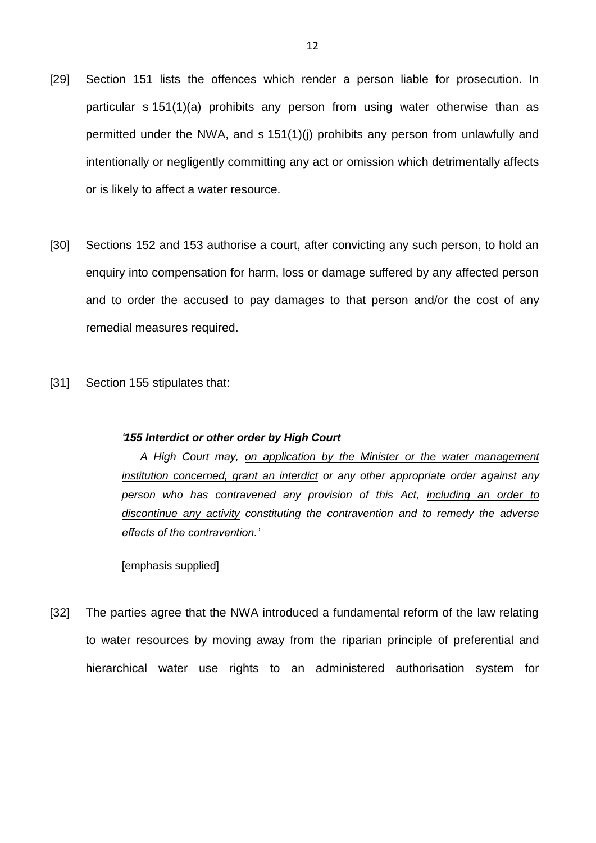- [29] Section 151 lists the offences which render a person liable for prosecution. In particular s 151(1)(a) prohibits any person from using water otherwise than as permitted under the NWA, and s 151(1)(j) prohibits any person from unlawfully and intentionally or negligently committing any act or omission which detrimentally affects or is likely to affect a water resource.
- [30] Sections 152 and 153 authorise a court, after convicting any such person, to hold an enquiry into compensation for harm, loss or damage suffered by any affected person and to order the accused to pay damages to that person and/or the cost of any remedial measures required.
- [31] Section 155 stipulates that:

#### *'155 Interdict or other order by High Court*

 *A High Court may, on application by the Minister or the water management institution concerned, grant an interdict or any other appropriate order against any person who has contravened any provision of this Act, including an order to discontinue any activity constituting the contravention and to remedy the adverse effects of the contravention.'*

[emphasis supplied]

[32] The parties agree that the NWA introduced a fundamental reform of the law relating to water resources by moving away from the riparian principle of preferential and hierarchical water use rights to an administered authorisation system for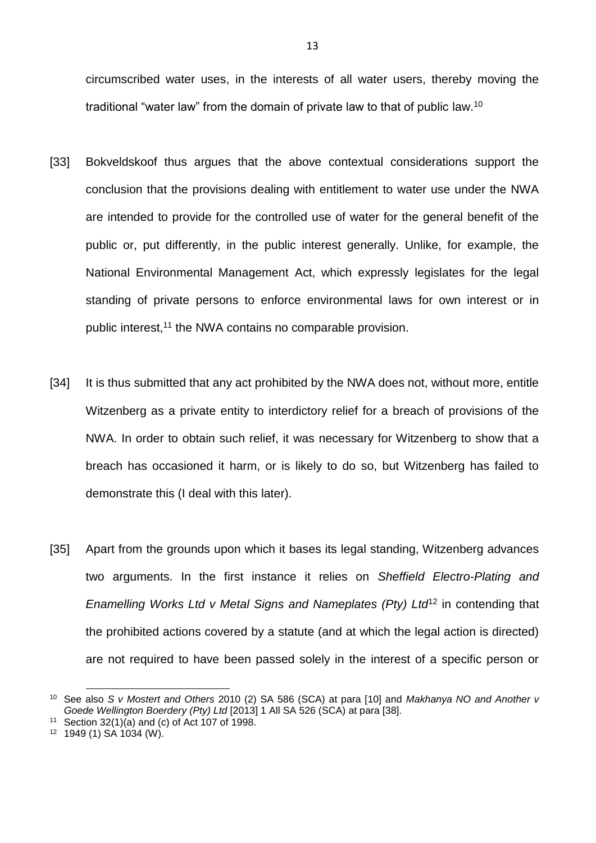circumscribed water uses, in the interests of all water users, thereby moving the traditional "water law" from the domain of private law to that of public law.<sup>10</sup>

- [33] Bokveldskoof thus argues that the above contextual considerations support the conclusion that the provisions dealing with entitlement to water use under the NWA are intended to provide for the controlled use of water for the general benefit of the public or, put differently, in the public interest generally. Unlike, for example, the National Environmental Management Act, which expressly legislates for the legal standing of private persons to enforce environmental laws for own interest or in public interest,<sup>11</sup> the NWA contains no comparable provision.
- [34] It is thus submitted that any act prohibited by the NWA does not, without more, entitle Witzenberg as a private entity to interdictory relief for a breach of provisions of the NWA. In order to obtain such relief, it was necessary for Witzenberg to show that a breach has occasioned it harm, or is likely to do so, but Witzenberg has failed to demonstrate this (I deal with this later).
- [35] Apart from the grounds upon which it bases its legal standing, Witzenberg advances two arguments. In the first instance it relies on *Sheffield Electro-Plating and Enamelling Works Ltd v Metal Signs and Nameplates (Pty) Ltd*<sup>12</sup> in contending that the prohibited actions covered by a statute (and at which the legal action is directed) are not required to have been passed solely in the interest of a specific person or

<sup>10</sup> See also *S v Mostert and Others* 2010 (2) SA 586 (SCA) at para [10] and *Makhanya NO and Another v Goede Wellington Boerdery (Pty) Ltd* [2013] 1 All SA 526 (SCA) at para [38].

<sup>11</sup> Section  $32(1)(a)$  and (c) of Act 107 of 1998.

<sup>12</sup> 1949 (1) SA 1034 (W).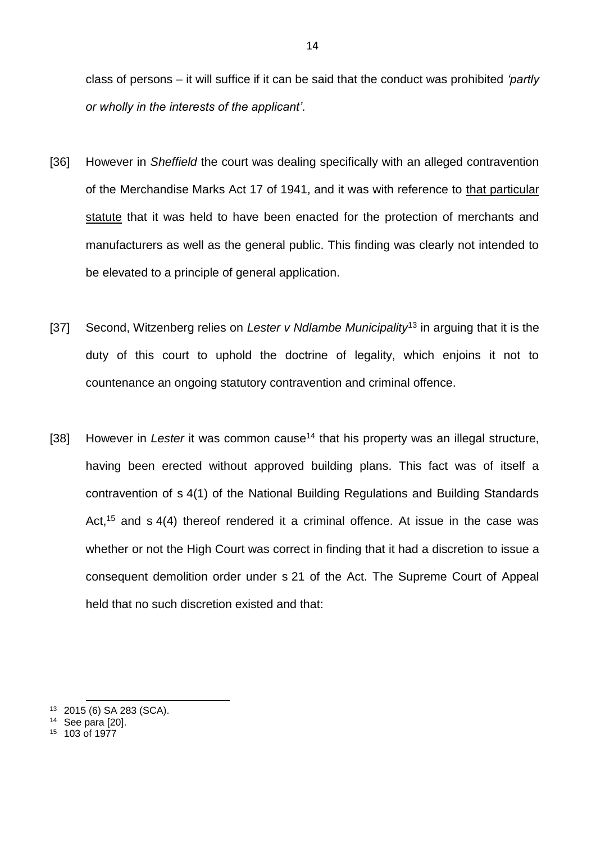class of persons – it will suffice if it can be said that the conduct was prohibited *'partly or wholly in the interests of the applicant'*.

- [36] However in *Sheffield* the court was dealing specifically with an alleged contravention of the Merchandise Marks Act 17 of 1941, and it was with reference to that particular statute that it was held to have been enacted for the protection of merchants and manufacturers as well as the general public. This finding was clearly not intended to be elevated to a principle of general application.
- [37] Second, Witzenberg relies on *Lester v Ndlambe Municipality*<sup>13</sup> in arguing that it is the duty of this court to uphold the doctrine of legality, which enjoins it not to countenance an ongoing statutory contravention and criminal offence.
- [38] However in *Lester* it was common cause<sup>14</sup> that his property was an illegal structure, having been erected without approved building plans. This fact was of itself a contravention of s 4(1) of the National Building Regulations and Building Standards Act,<sup>15</sup> and s  $4(4)$  thereof rendered it a criminal offence. At issue in the case was whether or not the High Court was correct in finding that it had a discretion to issue a consequent demolition order under s 21 of the Act. The Supreme Court of Appeal held that no such discretion existed and that:

<sup>13</sup> 2015 (6) SA 283 (SCA).

<sup>14</sup> See para [20].

<sup>15</sup> 103 of 1977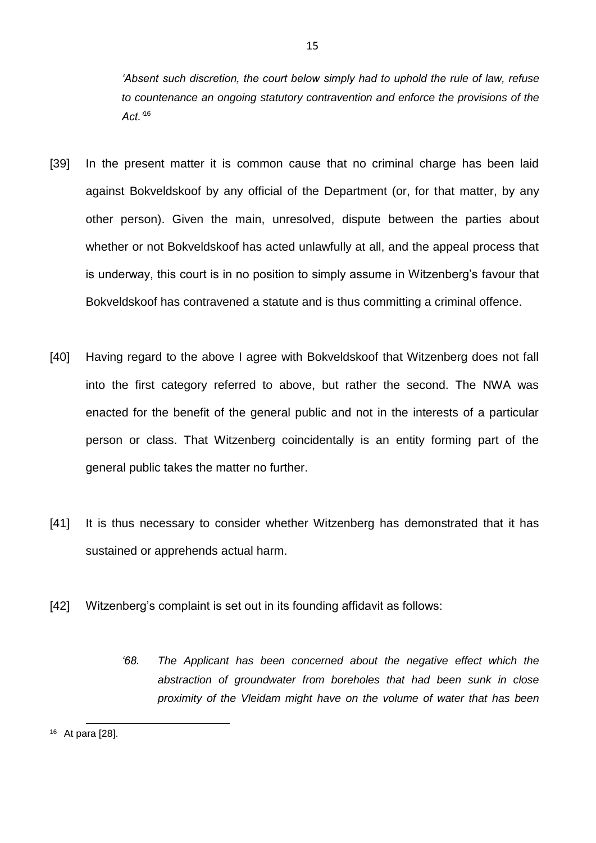*'Absent such discretion, the court below simply had to uphold the rule of law, refuse to countenance an ongoing statutory contravention and enforce the provisions of the Act.'*<sup>16</sup>

15

- [39] In the present matter it is common cause that no criminal charge has been laid against Bokveldskoof by any official of the Department (or, for that matter, by any other person). Given the main, unresolved, dispute between the parties about whether or not Bokveldskoof has acted unlawfully at all, and the appeal process that is underway, this court is in no position to simply assume in Witzenberg's favour that Bokveldskoof has contravened a statute and is thus committing a criminal offence.
- [40] Having regard to the above I agree with Bokveldskoof that Witzenberg does not fall into the first category referred to above, but rather the second. The NWA was enacted for the benefit of the general public and not in the interests of a particular person or class. That Witzenberg coincidentally is an entity forming part of the general public takes the matter no further.
- [41] It is thus necessary to consider whether Witzenberg has demonstrated that it has sustained or apprehends actual harm.
- [42] Witzenberg's complaint is set out in its founding affidavit as follows:
	- *'68. The Applicant has been concerned about the negative effect which the abstraction of groundwater from boreholes that had been sunk in close proximity of the Vleidam might have on the volume of water that has been*

l <sup>16</sup> At para [28].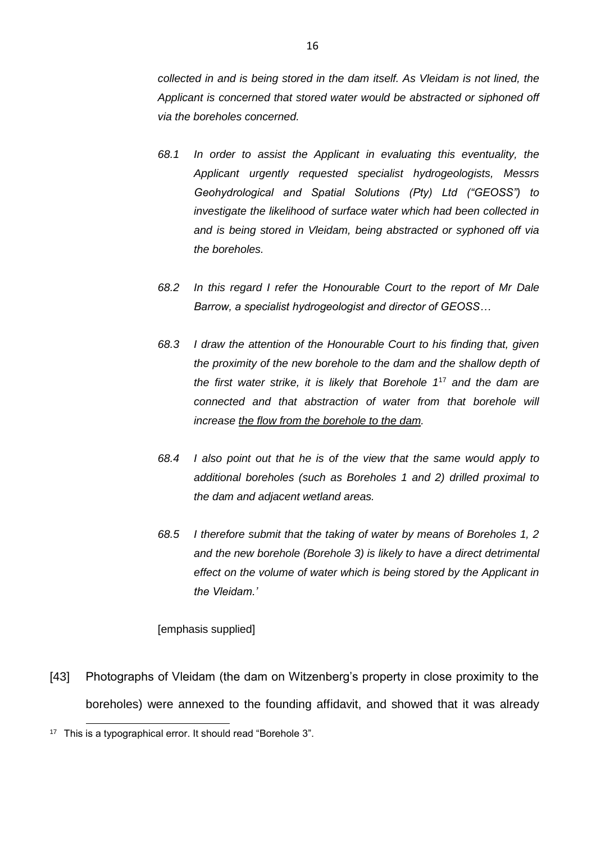*collected in and is being stored in the dam itself. As Vleidam is not lined, the Applicant is concerned that stored water would be abstracted or siphoned off via the boreholes concerned.*

- *68.1 In order to assist the Applicant in evaluating this eventuality, the Applicant urgently requested specialist hydrogeologists, Messrs Geohydrological and Spatial Solutions (Pty) Ltd ("GEOSS") to investigate the likelihood of surface water which had been collected in and is being stored in Vleidam, being abstracted or syphoned off via the boreholes.*
- *68.2 In this regard I refer the Honourable Court to the report of Mr Dale Barrow, a specialist hydrogeologist and director of GEOSS…*
- *68.3 I draw the attention of the Honourable Court to his finding that, given the proximity of the new borehole to the dam and the shallow depth of the first water strike, it is likely that Borehole 1*<sup>17</sup> *and the dam are connected and that abstraction of water from that borehole will increase the flow from the borehole to the dam.*
- *68.4 I also point out that he is of the view that the same would apply to additional boreholes (such as Boreholes 1 and 2) drilled proximal to the dam and adjacent wetland areas.*
- *68.5 I therefore submit that the taking of water by means of Boreholes 1, 2 and the new borehole (Borehole 3) is likely to have a direct detrimental effect on the volume of water which is being stored by the Applicant in the Vleidam.'*

### [emphasis supplied]

[43] Photographs of Vleidam (the dam on Witzenberg's property in close proximity to the boreholes) were annexed to the founding affidavit, and showed that it was already

<sup>&</sup>lt;sup>17</sup> This is a typographical error. It should read "Borehole 3".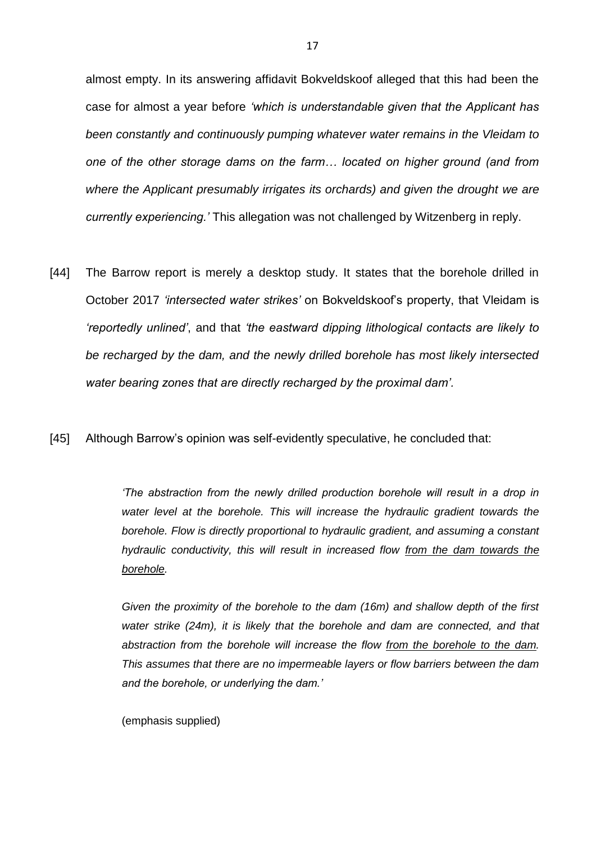almost empty. In its answering affidavit Bokveldskoof alleged that this had been the case for almost a year before *'which is understandable given that the Applicant has been constantly and continuously pumping whatever water remains in the Vleidam to one of the other storage dams on the farm… located on higher ground (and from*  where the Applicant presumably irrigates its orchards) and given the drought we are *currently experiencing.'* This allegation was not challenged by Witzenberg in reply.

- [44] The Barrow report is merely a desktop study. It states that the borehole drilled in October 2017 *'intersected water strikes'* on Bokveldskoof's property, that Vleidam is *'reportedly unlined'*, and that *'the eastward dipping lithological contacts are likely to be recharged by the dam, and the newly drilled borehole has most likely intersected water bearing zones that are directly recharged by the proximal dam'.*
- [45] Although Barrow's opinion was self-evidently speculative, he concluded that:

*'The abstraction from the newly drilled production borehole will result in a drop in water level at the borehole. This will increase the hydraulic gradient towards the borehole. Flow is directly proportional to hydraulic gradient, and assuming a constant hydraulic conductivity, this will result in increased flow from the dam towards the borehole.*

*Given the proximity of the borehole to the dam (16m) and shallow depth of the first*  water strike (24m), it is likely that the borehole and dam are connected, and that *abstraction from the borehole will increase the flow from the borehole to the dam. This assumes that there are no impermeable layers or flow barriers between the dam and the borehole, or underlying the dam.'*

(emphasis supplied)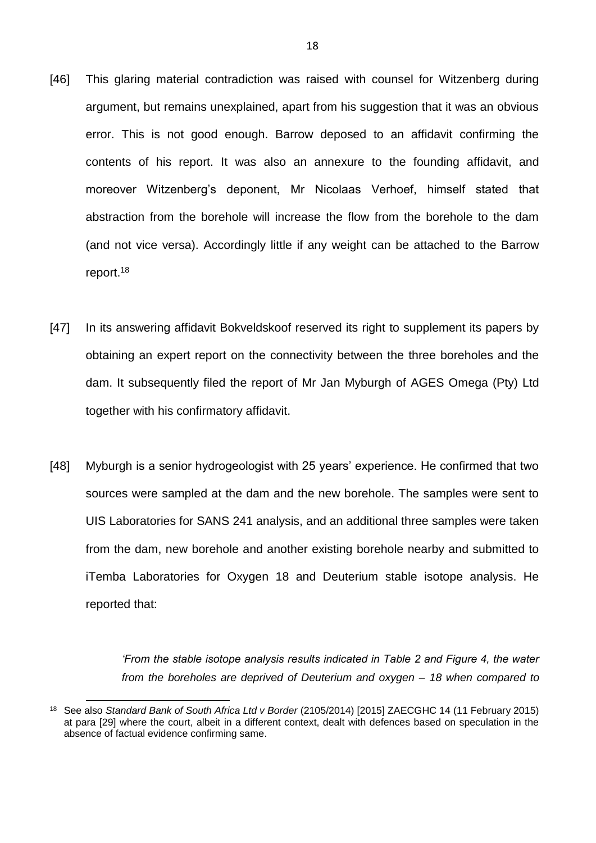- [46] This glaring material contradiction was raised with counsel for Witzenberg during argument, but remains unexplained, apart from his suggestion that it was an obvious error. This is not good enough. Barrow deposed to an affidavit confirming the contents of his report. It was also an annexure to the founding affidavit, and moreover Witzenberg's deponent, Mr Nicolaas Verhoef, himself stated that abstraction from the borehole will increase the flow from the borehole to the dam (and not vice versa). Accordingly little if any weight can be attached to the Barrow report. 18
- [47] In its answering affidavit Bokveldskoof reserved its right to supplement its papers by obtaining an expert report on the connectivity between the three boreholes and the dam. It subsequently filed the report of Mr Jan Myburgh of AGES Omega (Pty) Ltd together with his confirmatory affidavit.
- [48] Myburgh is a senior hydrogeologist with 25 years' experience. He confirmed that two sources were sampled at the dam and the new borehole. The samples were sent to UIS Laboratories for SANS 241 analysis, and an additional three samples were taken from the dam, new borehole and another existing borehole nearby and submitted to iTemba Laboratories for Oxygen 18 and Deuterium stable isotope analysis. He reported that:

*'From the stable isotope analysis results indicated in Table 2 and Figure 4, the water from the boreholes are deprived of Deuterium and oxygen – 18 when compared to* 

<sup>18</sup> See also *Standard Bank of South Africa Ltd v Border* (2105/2014) [2015] ZAECGHC 14 (11 February 2015) at para [29] where the court, albeit in a different context, dealt with defences based on speculation in the absence of factual evidence confirming same.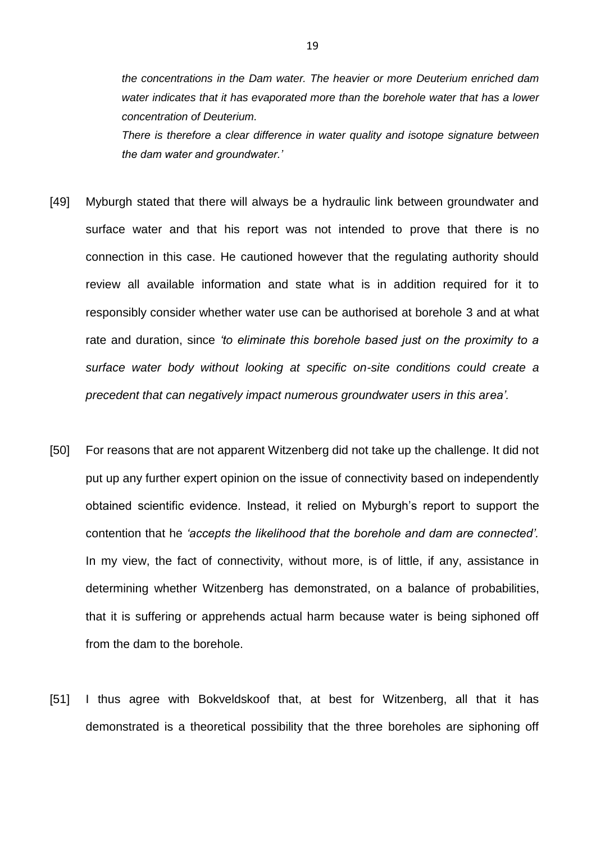*the concentrations in the Dam water. The heavier or more Deuterium enriched dam water indicates that it has evaporated more than the borehole water that has a lower concentration of Deuterium.*

*There is therefore a clear difference in water quality and isotope signature between the dam water and groundwater.'*

- [49] Myburgh stated that there will always be a hydraulic link between groundwater and surface water and that his report was not intended to prove that there is no connection in this case. He cautioned however that the regulating authority should review all available information and state what is in addition required for it to responsibly consider whether water use can be authorised at borehole 3 and at what rate and duration, since *'to eliminate this borehole based just on the proximity to a surface water body without looking at specific on-site conditions could create a precedent that can negatively impact numerous groundwater users in this area'.*
- [50] For reasons that are not apparent Witzenberg did not take up the challenge. It did not put up any further expert opinion on the issue of connectivity based on independently obtained scientific evidence. Instead, it relied on Myburgh's report to support the contention that he *'accepts the likelihood that the borehole and dam are connected'.* In my view, the fact of connectivity, without more, is of little, if any, assistance in determining whether Witzenberg has demonstrated, on a balance of probabilities, that it is suffering or apprehends actual harm because water is being siphoned off from the dam to the borehole.
- [51] I thus agree with Bokveldskoof that, at best for Witzenberg, all that it has demonstrated is a theoretical possibility that the three boreholes are siphoning off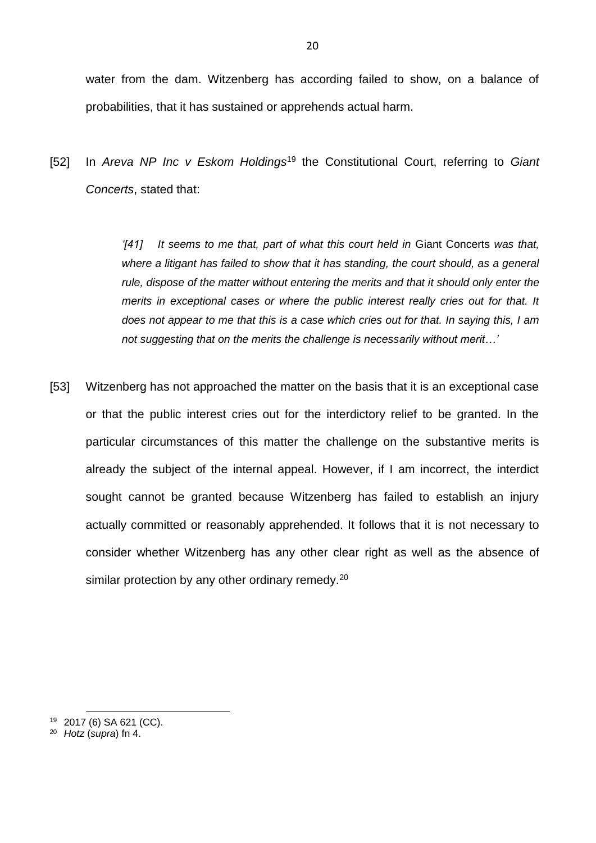water from the dam. Witzenberg has according failed to show, on a balance of probabilities, that it has sustained or apprehends actual harm.

[52] In *Areva NP Inc v Eskom Holdings*<sup>19</sup> the Constitutional Court, referring to *Giant Concerts*, stated that:

> *'[41] It seems to me that, part of what this court held in* Giant Concerts *was that, where a litigant has failed to show that it has standing, the court should, as a general rule, dispose of the matter without entering the merits and that it should only enter the merits in exceptional cases or where the public interest really cries out for that. It does not appear to me that this is a case which cries out for that. In saying this, I am not suggesting that on the merits the challenge is necessarily without merit…'*

[53] Witzenberg has not approached the matter on the basis that it is an exceptional case or that the public interest cries out for the interdictory relief to be granted. In the particular circumstances of this matter the challenge on the substantive merits is already the subject of the internal appeal. However, if I am incorrect, the interdict sought cannot be granted because Witzenberg has failed to establish an injury actually committed or reasonably apprehended. It follows that it is not necessary to consider whether Witzenberg has any other clear right as well as the absence of similar protection by any other ordinary remedy.<sup>20</sup>

<sup>19</sup> 2017 (6) SA 621 (CC).

<sup>20</sup> *Hotz* (*supra*) fn 4.